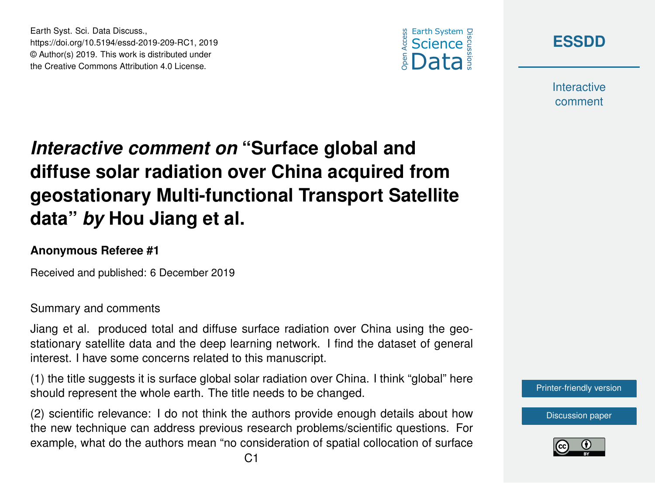



**Interactive** comment

# *Interactive comment on* **"Surface global and diffuse solar radiation over China acquired from geostationary Multi-functional Transport Satellite data"** *by* **Hou Jiang et al.**

### **Anonymous Referee #1**

Earth Syst. Sci. Data Discuss.,

https://doi.org/10.5194/essd-2019-209-RC1, 2019 © Author(s) 2019. This work is distributed under the Creative Commons Attribution 4.0 License.

Received and published: 6 December 2019

#### Summary and comments

Jiang et al. produced total and diffuse surface radiation over China using the geostationary satellite data and the deep learning network. I find the dataset of general interest. I have some concerns related to this manuscript.

(1) the title suggests it is surface global solar radiation over China. I think "global" here should represent the whole earth. The title needs to be changed.

(2) scientific relevance: I do not think the authors provide enough details about how the new technique can address previous research problems/scientific questions. For example, what do the authors mean "no consideration of spatial collocation of surface [Printer-friendly version](https://www.earth-syst-sci-data-discuss.net/essd-2019-209/essd-2019-209-RC1-print.pdf)

[Discussion paper](https://www.earth-syst-sci-data-discuss.net/essd-2019-209)

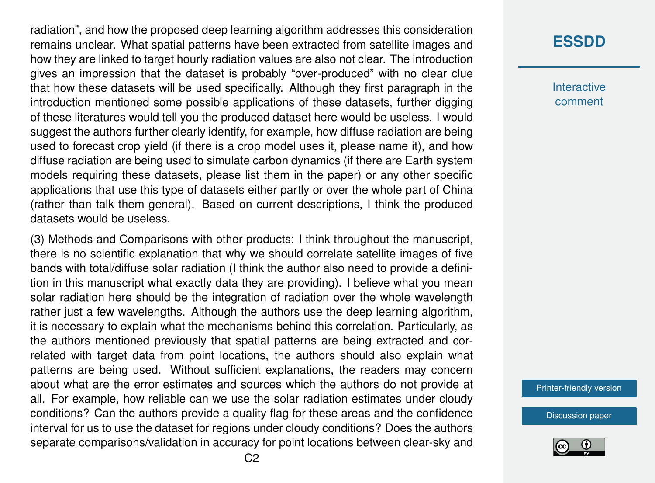radiation", and how the proposed deep learning algorithm addresses this consideration remains unclear. What spatial patterns have been extracted from satellite images and how they are linked to target hourly radiation values are also not clear. The introduction gives an impression that the dataset is probably "over-produced" with no clear clue that how these datasets will be used specifically. Although they first paragraph in the introduction mentioned some possible applications of these datasets, further digging of these literatures would tell you the produced dataset here would be useless. I would suggest the authors further clearly identify, for example, how diffuse radiation are being used to forecast crop yield (if there is a crop model uses it, please name it), and how diffuse radiation are being used to simulate carbon dynamics (if there are Earth system models requiring these datasets, please list them in the paper) or any other specific applications that use this type of datasets either partly or over the whole part of China (rather than talk them general). Based on current descriptions, I think the produced datasets would be useless.

(3) Methods and Comparisons with other products: I think throughout the manuscript, there is no scientific explanation that why we should correlate satellite images of five bands with total/diffuse solar radiation (I think the author also need to provide a definition in this manuscript what exactly data they are providing). I believe what you mean solar radiation here should be the integration of radiation over the whole wavelength rather just a few wavelengths. Although the authors use the deep learning algorithm, it is necessary to explain what the mechanisms behind this correlation. Particularly, as the authors mentioned previously that spatial patterns are being extracted and correlated with target data from point locations, the authors should also explain what patterns are being used. Without sufficient explanations, the readers may concern about what are the error estimates and sources which the authors do not provide at all. For example, how reliable can we use the solar radiation estimates under cloudy conditions? Can the authors provide a quality flag for these areas and the confidence interval for us to use the dataset for regions under cloudy conditions? Does the authors separate comparisons/validation in accuracy for point locations between clear-sky and

## **[ESSDD](https://www.earth-syst-sci-data-discuss.net/)**

**Interactive** comment

[Printer-friendly version](https://www.earth-syst-sci-data-discuss.net/essd-2019-209/essd-2019-209-RC1-print.pdf)

[Discussion paper](https://www.earth-syst-sci-data-discuss.net/essd-2019-209)